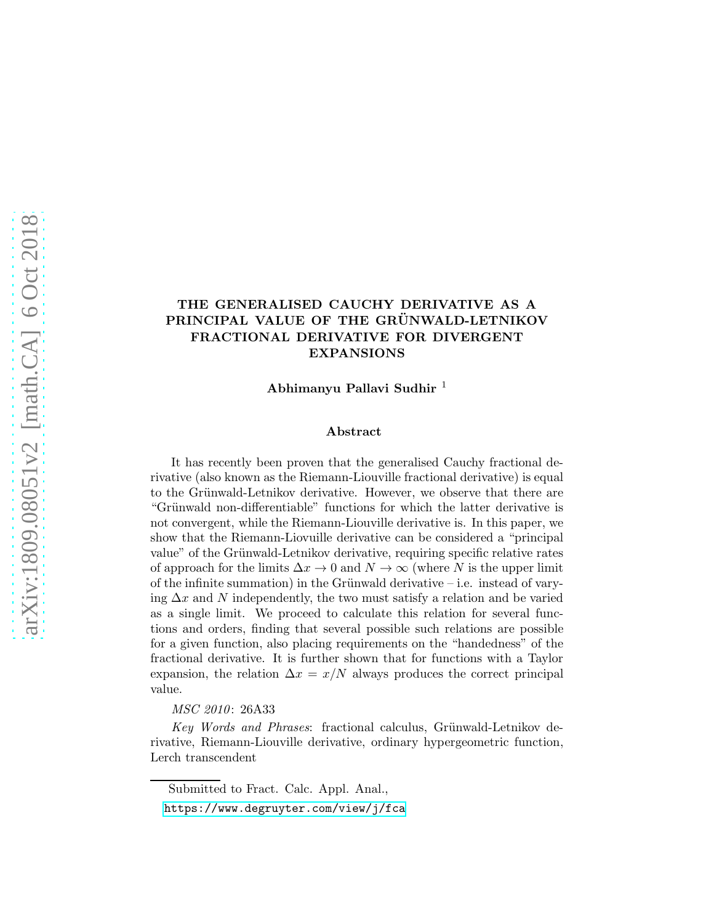# THE GENERALISED CAUCHY DERIVATIVE AS A PRINCIPAL VALUE OF THE GRÜNWALD-LETNIKOV FRACTIONAL DERIVATIVE FOR DIVERGENT EXPANSIONS

Abhimanyu Pallavi Sudhir <sup>1</sup>

#### Abstract

It has recently been proven that the generalised Cauchy fractional derivative (also known as the Riemann-Liouville fractional derivative) is equal to the Grünwald-Letnikov derivative. However, we observe that there are "Grünwald non-differentiable" functions for which the latter derivative is not convergent, while the Riemann-Liouville derivative is. In this paper, we show that the Riemann-Liovuille derivative can be considered a "principal value" of the Grünwald-Letnikov derivative, requiring specific relative rates of approach for the limits  $\Delta x \to 0$  and  $N \to \infty$  (where N is the upper limit of the infinite summation) in the Grünwald derivative – i.e. instead of varying  $\Delta x$  and N independently, the two must satisfy a relation and be varied as a single limit. We proceed to calculate this relation for several functions and orders, finding that several possible such relations are possible for a given function, also placing requirements on the "handedness" of the fractional derivative. It is further shown that for functions with a Taylor expansion, the relation  $\Delta x = x/N$  always produces the correct principal value.

*MSC 2010*: 26A33

*Key Words and Phrases*: fractional calculus, Grünwald-Letnikov derivative, Riemann-Liouville derivative, ordinary hypergeometric function, Lerch transcendent

Submitted to Fract. Calc. Appl. Anal., <https://www.degruyter.com/view/j/fca>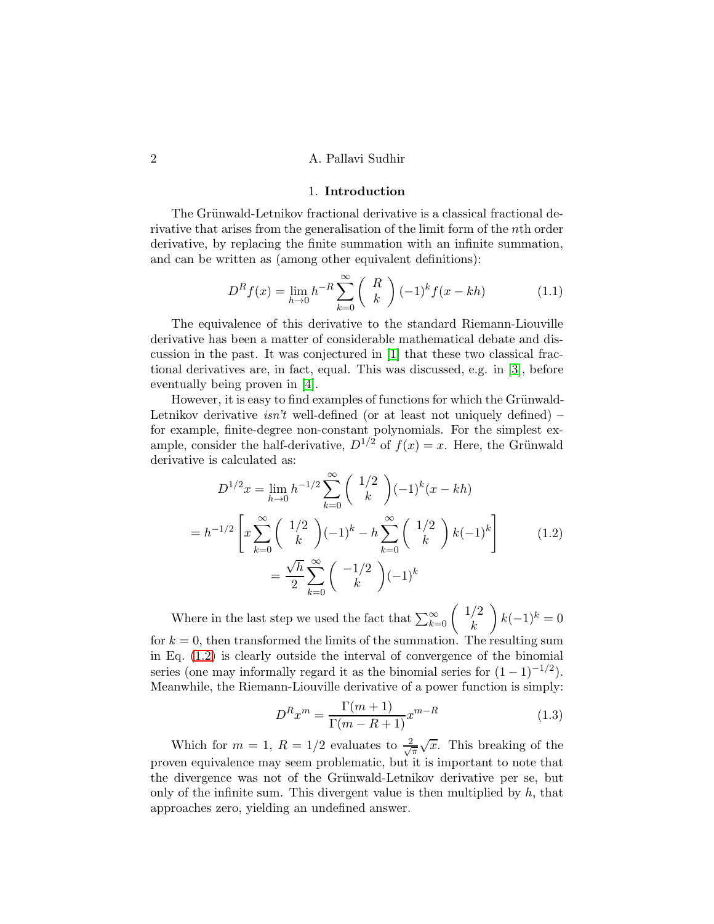## 2 A. Pallavi Sudhir

### 1. Introduction

The Grünwald-Letnikov fractional derivative is a classical fractional derivative that arises from the generalisation of the limit form of the nth order derivative, by replacing the finite summation with an infinite summation, and can be written as (among other equivalent definitions):

<span id="page-1-1"></span>
$$
D^{R} f(x) = \lim_{h \to 0} h^{-R} \sum_{k=0}^{\infty} {R \choose k} (-1)^{k} f(x - kh)
$$
 (1.1)

The equivalence of this derivative to the standard Riemann-Liouville derivative has been a matter of considerable mathematical debate and discussion in the past. It was conjectured in [\[1\]](#page-8-0) that these two classical fractional derivatives are, in fact, equal. This was discussed, e.g. in [\[3\]](#page-8-1), before eventually being proven in [\[4\]](#page-8-2).

However, it is easy to find examples of functions for which the Grünwald-Letnikov derivative *isn't* well-defined (or at least not uniquely defined) – for example, finite-degree non-constant polynomials. For the simplest example, consider the half-derivative,  $D^{1/2}$  of  $f(x) = x$ . Here, the Grünwald derivative is calculated as:

<span id="page-1-0"></span>
$$
D^{1/2}x = \lim_{h \to 0} h^{-1/2} \sum_{k=0}^{\infty} {1/2 \choose k} (-1)^k (x - kh)
$$
  
=  $h^{-1/2} \left[ x \sum_{k=0}^{\infty} {1/2 \choose k} (-1)^k - h \sum_{k=0}^{\infty} {1/2 \choose k} k (-1)^k \right]$  (1.2)  
=  $\frac{\sqrt{h}}{2} \sum_{k=0}^{\infty} { -1/2 \choose k} (-1)^k$ 

Where in the last step we used the fact that  $\sum_{k=0}^{\infty} \binom{1/2}{k}$ k  $\bigg) k(-1)^k = 0$ for  $k = 0$ , then transformed the limits of the summation. The resulting sum in Eq. [\(1.2\)](#page-1-0) is clearly outside the interval of convergence of the binomial series (one may informally regard it as the binomial series for  $(1 - 1)^{-1/2}$ ). Meanwhile, the Riemann-Liouville derivative of a power function is simply:

<span id="page-1-2"></span>
$$
D^{R}x^{m} = \frac{\Gamma(m+1)}{\Gamma(m-R+1)}x^{m-R}
$$
\n(1.3)

Which for  $m = 1, R = 1/2$  evaluates to  $\frac{2}{\sqrt{2}}$  $\frac{d}{d\pi}\sqrt{x}$ . This breaking of the proven equivalence may seem problematic, but it is important to note that the divergence was not of the Grünwald-Letnikov derivative per se, but only of the infinite sum. This divergent value is then multiplied by  $h$ , that approaches zero, yielding an undefined answer.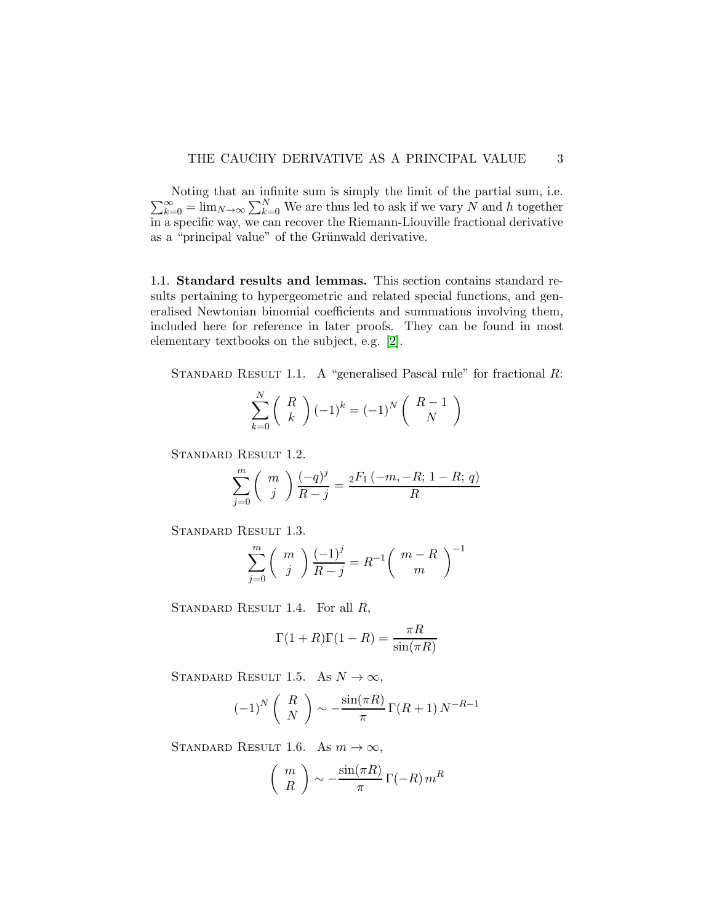$\sum_{k=0}^{\infty} = \lim_{N \to \infty} \sum_{k=0}^{N}$  We are thus led to ask if we vary N and h together Noting that an infinite sum is simply the limit of the partial sum, i.e. in a specific way, we can recover the Riemann-Liouville fractional derivative as a "principal value" of the Grünwald derivative.

1.1. Standard results and lemmas. This section contains standard results pertaining to hypergeometric and related special functions, and generalised Newtonian binomial coefficients and summations involving them, included here for reference in later proofs. They can be found in most elementary textbooks on the subject, e.g. [\[2\]](#page-8-3).

<span id="page-2-0"></span>STANDARD RESULT 1.1. A "generalised Pascal rule" for fractional  $R$ :

$$
\sum_{k=0}^{N} \binom{R}{k} (-1)^k = (-1)^N \binom{R-1}{N}
$$

<span id="page-2-3"></span>Standard Result 1.2.

$$
\sum_{j=0}^{m} \binom{m}{j} \frac{(-q)^j}{R-j} = \frac{{}_2F_1(-m,-R; 1-R; q)}{R}
$$

<span id="page-2-4"></span>Standard Result 1.3.

$$
\sum_{j=0}^{m} \binom{m}{j} \frac{(-1)^j}{R-j} = R^{-1} \binom{m-R}{m}^{-1}
$$

<span id="page-2-2"></span>STANDARD RESULT 1.4. For all  $R$ ,

$$
\Gamma(1+R)\Gamma(1-R) = \frac{\pi R}{\sin(\pi R)}
$$

<span id="page-2-1"></span>STANDARD RESULT 1.5. As  $N \to \infty$ ,

$$
(-1)^N \left(\begin{array}{c} R \\ N \end{array}\right) \sim -\frac{\sin(\pi R)}{\pi} \Gamma(R+1) N^{-R-1}
$$

STANDARD RESULT 1.6. As  $m \to \infty$ ,

$$
\left(\begin{array}{c}m\\R\end{array}\right) \sim -\frac{\sin(\pi R)}{\pi} \Gamma(-R) m^R
$$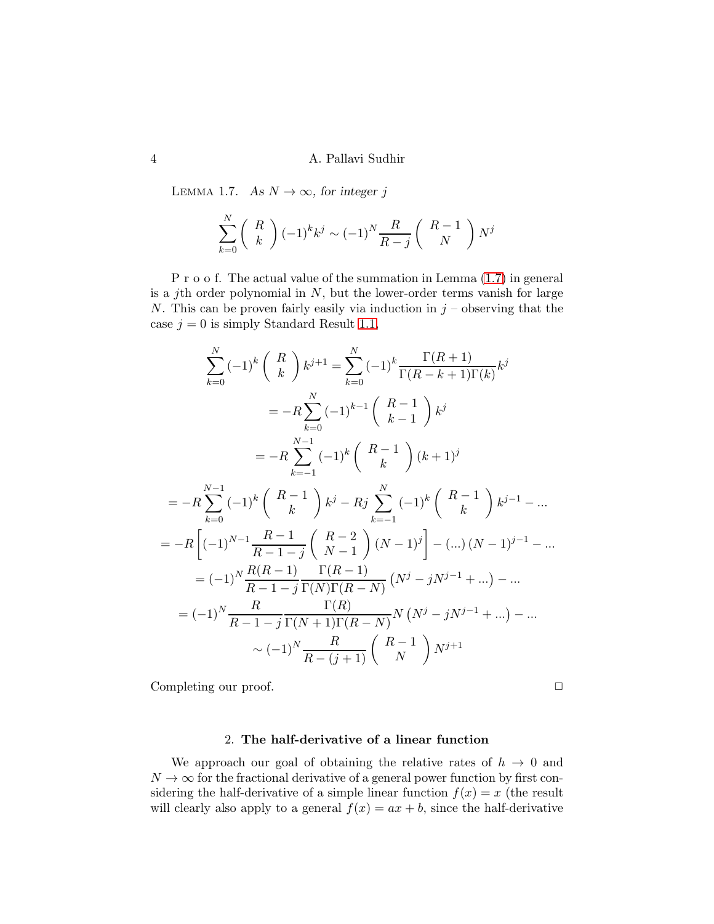<span id="page-3-0"></span>LEMMA 1.7. As  $N \to \infty$ , for integer j

$$
\sum_{k=0}^{N} \binom{R}{k} (-1)^k k^j \sim (-1)^N \frac{R}{R-j} \binom{R-1}{N} N^j
$$

P r o o f. The actual value of the summation in Lemma [\(1.7\)](#page-3-0) in general is a jth order polynomial in  $N$ , but the lower-order terms vanish for large N. This can be proven fairly easily via induction in  $j$  – observing that the case  $j = 0$  is simply Standard Result [1.1,](#page-2-0)

$$
\sum_{k=0}^{N} (-1)^{k} {R \choose k} k^{j+1} = \sum_{k=0}^{N} (-1)^{k} \frac{\Gamma(R+1)}{\Gamma(R-k+1)\Gamma(k)} k^{j}
$$
  
\n
$$
= -R \sum_{k=0}^{N} (-1)^{k-1} {R-1 \choose k-1} k^{j}
$$
  
\n
$$
= -R \sum_{k=-1}^{N-1} (-1)^{k} {R-1 \choose k} (k+1)^{j}
$$
  
\n
$$
= -R \sum_{k=0}^{N-1} (-1)^{k} {R-1 \choose k} k^{j} - Rj \sum_{k=-1}^{N} (-1)^{k} {R-1 \choose k} k^{j-1} - \dots
$$
  
\n
$$
= -R \left[ (-1)^{N-1} \frac{R-1}{R-1-j} {R-2 \choose N-1} (N-1)^{j} \right] - (\dots)(N-1)^{j-1} - \dots
$$
  
\n
$$
= (-1)^{N} \frac{R(R-1)}{R-1-j} \frac{\Gamma(R)}{\Gamma(N)\Gamma(R-N)} (N^{j} - jN^{j-1} + \dots) - \dots
$$
  
\n
$$
= (-1)^{N} \frac{R}{R-1-j} \frac{\Gamma(R)}{\Gamma(N+1)\Gamma(R-N)} N (N^{j} - jN^{j-1} + \dots) - \dots
$$
  
\n
$$
\sim (-1)^{N} \frac{R}{R-(j+1)} {R-1 \choose N} N^{j+1}
$$

Completing our proof.  $\Box$ 

## 2. The half-derivative of a linear function

<span id="page-3-1"></span>We approach our goal of obtaining the relative rates of  $h \to 0$  and  $N \to \infty$  for the fractional derivative of a general power function by first considering the half-derivative of a simple linear function  $f(x) = x$  (the result will clearly also apply to a general  $f(x) = ax + b$ , since the half-derivative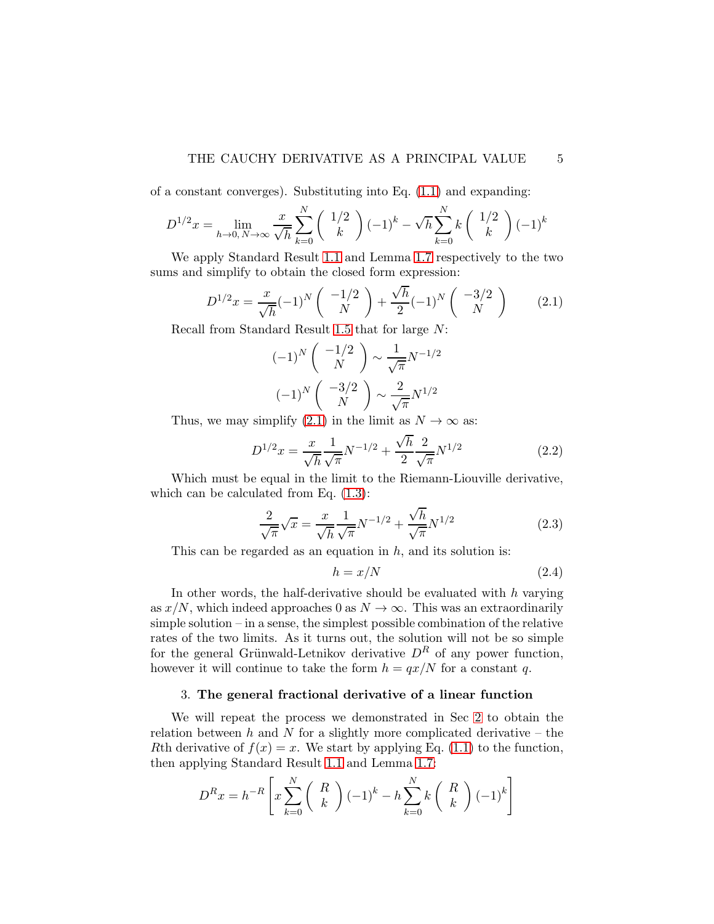of a constant converges). Substituting into Eq. [\(1.1\)](#page-1-1) and expanding:

$$
D^{1/2}x = \lim_{h \to 0, N \to \infty} \frac{x}{\sqrt{h}} \sum_{k=0}^{N} \binom{1/2}{k} (-1)^k - \sqrt{h} \sum_{k=0}^{N} k \binom{1/2}{k} (-1)^k
$$

We apply Standard Result [1.1](#page-2-0) and Lemma [1.7](#page-3-0) respectively to the two sums and simplify to obtain the closed form expression:

<span id="page-4-0"></span>
$$
D^{1/2}x = \frac{x}{\sqrt{h}}(-1)^N \left(\begin{array}{c} -1/2\\N \end{array}\right) + \frac{\sqrt{h}}{2}(-1)^N \left(\begin{array}{c} -3/2\\N \end{array}\right) \tag{2.1}
$$

Recall from Standard Result [1.5](#page-2-1) that for large N:

$$
(-1)^N \begin{pmatrix} -1/2 \\ N \end{pmatrix} \sim \frac{1}{\sqrt{\pi}} N^{-1/2}
$$

$$
(-1)^N \begin{pmatrix} -3/2 \\ N \end{pmatrix} \sim \frac{2}{\sqrt{\pi}} N^{1/2}
$$

Thus, we may simplify [\(2.1\)](#page-4-0) in the limit as  $N \to \infty$  as:

$$
D^{1/2}x = \frac{x}{\sqrt{h}} \frac{1}{\sqrt{\pi}} N^{-1/2} + \frac{\sqrt{h}}{2} \frac{2}{\sqrt{\pi}} N^{1/2}
$$
 (2.2)

Which must be equal in the limit to the Riemann-Liouville derivative, which can be calculated from Eq.  $(1.3)$ :

$$
\frac{2}{\sqrt{\pi}}\sqrt{x} = \frac{x}{\sqrt{h}}\frac{1}{\sqrt{\pi}}N^{-1/2} + \frac{\sqrt{h}}{\sqrt{\pi}}N^{1/2}
$$
 (2.3)

This can be regarded as an equation in  $h$ , and its solution is:

$$
h = x/N \tag{2.4}
$$

In other words, the half-derivative should be evaluated with  $h$  varying as  $x/N$ , which indeed approaches 0 as  $N \to \infty$ . This was an extraordinarily simple solution – in a sense, the simplest possible combination of the relative rates of the two limits. As it turns out, the solution will not be so simple for the general Grünwald-Letnikov derivative  $D<sup>R</sup>$  of any power function, however it will continue to take the form  $h = qx/N$  for a constant q.

#### <span id="page-4-1"></span>3. The general fractional derivative of a linear function

We will repeat the process we demonstrated in Sec [2](#page-3-1) to obtain the relation between h and N for a slightly more complicated derivative – the Rth derivative of  $f(x) = x$ . We start by applying Eq. [\(1.1\)](#page-1-1) to the function, then applying Standard Result [1.1](#page-2-0) and Lemma [1.7:](#page-3-0)

$$
D^{R}x = h^{-R} \left[ x \sum_{k=0}^{N} \binom{R}{k} (-1)^{k} - h \sum_{k=0}^{N} k \binom{R}{k} (-1)^{k} \right]
$$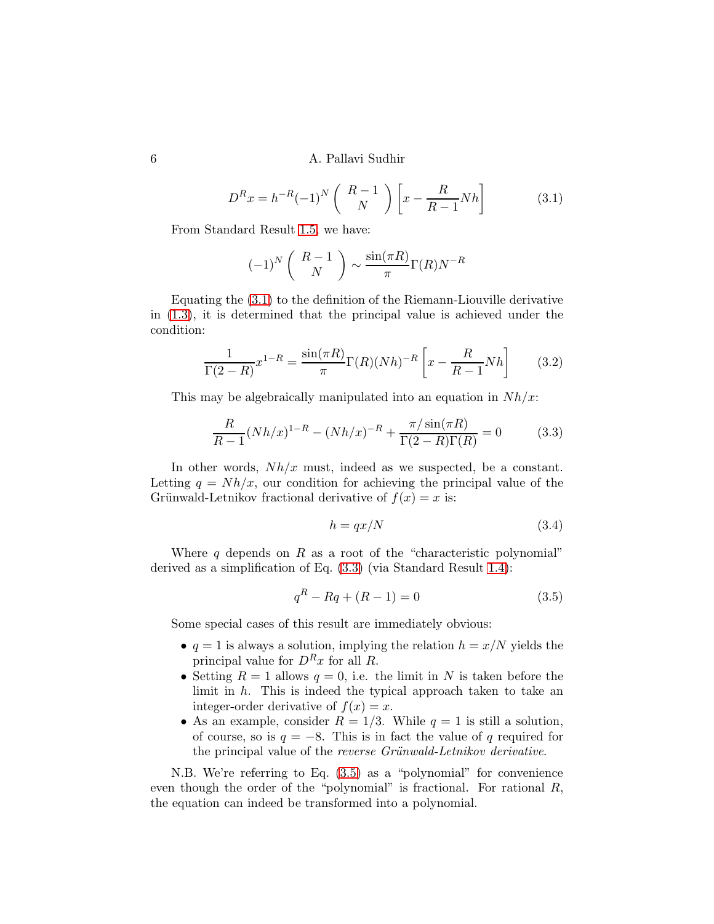#### 6 A. Pallavi Sudhir

<span id="page-5-0"></span>
$$
D^{R}x = h^{-R}(-1)^{N} \begin{pmatrix} R-1\\ N \end{pmatrix} \begin{bmatrix} x - \frac{R}{R-1} N h \end{bmatrix}
$$
 (3.1)

From Standard Result [1.5,](#page-2-1) we have:

$$
(-1)^N \left(\begin{array}{c} R-1\\N\end{array}\right) \sim \frac{\sin(\pi R)}{\pi} \Gamma(R) N^{-R}
$$

Equating the [\(3.1\)](#page-5-0) to the definition of the Riemann-Liouville derivative in [\(1.3\)](#page-1-2), it is determined that the principal value is achieved under the condition:

$$
\frac{1}{\Gamma(2-R)}x^{1-R} = \frac{\sin(\pi R)}{\pi}\Gamma(R)(Nh)^{-R}\left[x - \frac{R}{R-1}Nh\right]
$$
(3.2)

This may be algebraically manipulated into an equation in  $Nh/x$ :

<span id="page-5-1"></span>
$$
\frac{R}{R-1}(Nh/x)^{1-R} - (Nh/x)^{-R} + \frac{\pi/\sin(\pi R)}{\Gamma(2-R)\Gamma(R)} = 0
$$
\n(3.3)

In other words,  $Nh/x$  must, indeed as we suspected, be a constant. Letting  $q = Nh/x$ , our condition for achieving the principal value of the Grünwald-Letnikov fractional derivative of  $f(x) = x$  is:

<span id="page-5-3"></span>
$$
h = qx/N \tag{3.4}
$$

Where q depends on R as a root of the "characteristic polynomial" derived as a simplification of Eq. [\(3.3\)](#page-5-1) (via Standard Result [1.4\)](#page-2-2):

<span id="page-5-2"></span>
$$
q^R - Rq + (R - 1) = 0 \tag{3.5}
$$

Some special cases of this result are immediately obvious:

- $q = 1$  is always a solution, implying the relation  $h = x/N$  yields the principal value for  $D<sup>R</sup>x$  for all R.
- Setting  $R = 1$  allows  $q = 0$ , i.e. the limit in N is taken before the limit in  $h$ . This is indeed the typical approach taken to take an integer-order derivative of  $f(x) = x$ .
- As an example, consider  $R = 1/3$ . While  $q = 1$  is still a solution, of course, so is  $q = -8$ . This is in fact the value of q required for the principal value of the *reverse Grünwald-Letnikov derivative*.

N.B. We're referring to Eq. [\(3.5\)](#page-5-2) as a "polynomial" for convenience even though the order of the "polynomial" is fractional. For rational R, the equation can indeed be transformed into a polynomial.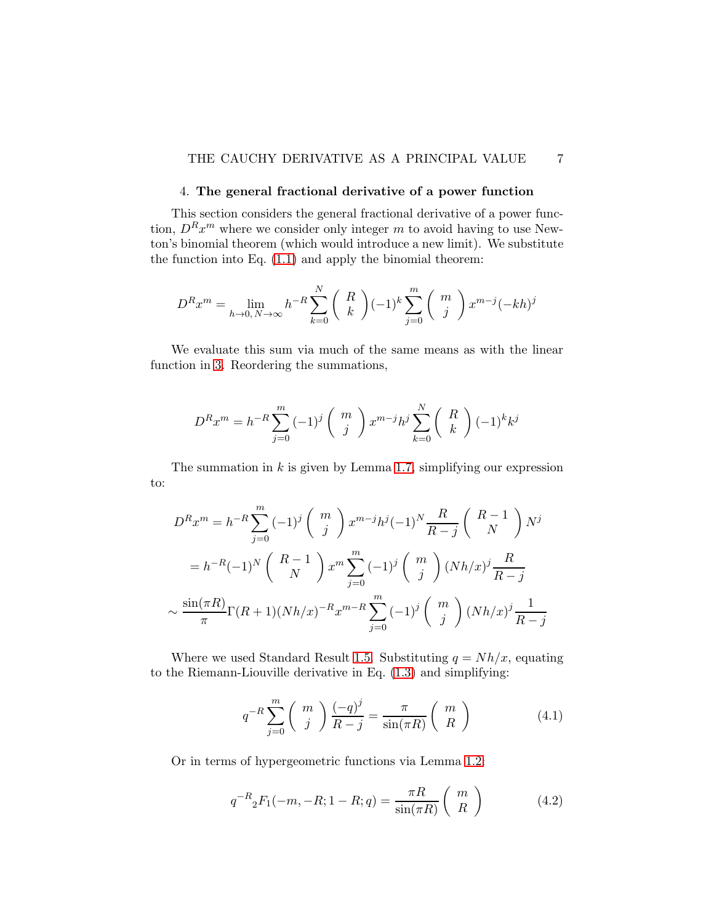## THE CAUCHY DERIVATIVE AS A PRINCIPAL VALUE 7

## 4. The general fractional derivative of a power function

This section considers the general fractional derivative of a power function,  $D^{R}x^{m}$  where we consider only integer m to avoid having to use Newton's binomial theorem (which would introduce a new limit). We substitute the function into Eq. [\(1.1\)](#page-1-1) and apply the binomial theorem:

$$
D^{R}x^{m} = \lim_{h \to 0, N \to \infty} h^{-R} \sum_{k=0}^{N} \binom{R}{k} (-1)^{k} \sum_{j=0}^{m} \binom{m}{j} x^{m-j} (-kh)^{j}
$$

We evaluate this sum via much of the same means as with the linear function in [3.](#page-4-1) Reordering the summations,

$$
D^{R}x^{m} = h^{-R} \sum_{j=0}^{m} (-1)^{j} {m \choose j} x^{m-j} h^{j} \sum_{k=0}^{N} {R \choose k} (-1)^{k} k^{j}
$$

The summation in  $k$  is given by Lemma [1.7,](#page-3-0) simplifying our expression to:

$$
D^{R}x^{m} = h^{-R} \sum_{j=0}^{m} (-1)^{j} {m \choose j} x^{m-j} h^{j} (-1)^{N} \frac{R}{R-j} {R-1 \choose N} N^{j}
$$
  
=  $h^{-R} (-1)^{N} {R-1 \choose N} x^{m} \sum_{j=0}^{m} (-1)^{j} {m \choose j} (Nh/x)^{j} \frac{R}{R-j}$   
 $\sim \frac{\sin(\pi R)}{\pi} \Gamma(R+1)(Nh/x)^{-R} x^{m-R} \sum_{j=0}^{m} (-1)^{j} {m \choose j} (Nh/x)^{j} \frac{1}{R-j}$ 

Where we used Standard Result [1.5.](#page-2-1) Substituting  $q = Nh/x$ , equating to the Riemann-Liouville derivative in Eq. [\(1.3\)](#page-1-2) and simplifying:

<span id="page-6-0"></span>
$$
q^{-R} \sum_{j=0}^{m} \binom{m}{j} \frac{(-q)^j}{R-j} = \frac{\pi}{\sin(\pi R)} \binom{m}{R} \tag{4.1}
$$

Or in terms of hypergeometric functions via Lemma [1.2:](#page-2-3)

<span id="page-6-1"></span>
$$
q^{-R} {}_{2}F_{1}(-m, -R; 1 - R; q) = \frac{\pi R}{\sin(\pi R)} {m \choose R}
$$
 (4.2)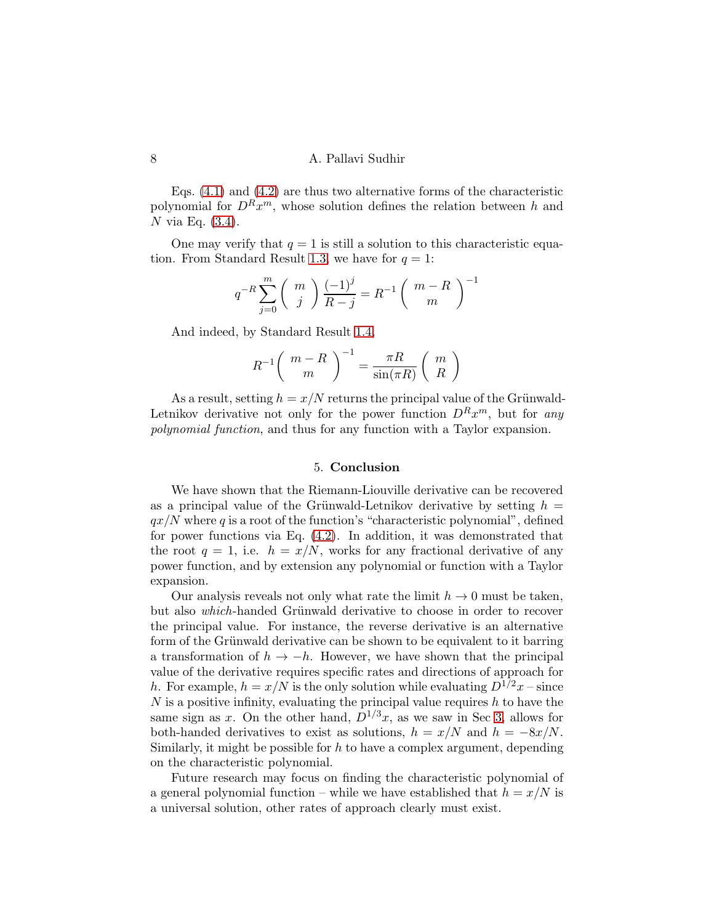Eqs. [\(4.1\)](#page-6-0) and [\(4.2\)](#page-6-1) are thus two alternative forms of the characteristic polynomial for  $D^{R}x^{m}$ , whose solution defines the relation between h and N via Eq.  $(3.4)$ .

One may verify that  $q = 1$  is still a solution to this characteristic equa-tion. From Standard Result [1.3,](#page-2-4) we have for  $q = 1$ :

$$
q^{-R} \sum_{j=0}^{m} \binom{m}{j} \frac{(-1)^j}{R-j} = R^{-1} \binom{m-R}{m}^{-1}
$$

And indeed, by Standard Result [1.4,](#page-2-2)

$$
R^{-1} \left( \begin{array}{c} m - R \\ m \end{array} \right)^{-1} = \frac{\pi R}{\sin(\pi R)} \left( \begin{array}{c} m \\ R \end{array} \right)
$$

As a result, setting  $h = x/N$  returns the principal value of the Grünwald-Letnikov derivative not only for the power function  $D^{R}x^{m}$ , but for any *polynomial function*, and thus for any function with a Taylor expansion.

#### 5. Conclusion

We have shown that the Riemann-Liouville derivative can be recovered as a principal value of the Grünwald-Letnikov derivative by setting  $h =$  $qx/N$  where q is a root of the function's "characteristic polynomial", defined for power functions via Eq. [\(4.2\)](#page-6-1). In addition, it was demonstrated that the root  $q = 1$ , i.e.  $h = x/N$ , works for any fractional derivative of any power function, and by extension any polynomial or function with a Taylor expansion.

Our analysis reveals not only what rate the limit  $h \to 0$  must be taken, but also *which*-handed Grünwald derivative to choose in order to recover the principal value. For instance, the reverse derivative is an alternative form of the Grünwald derivative can be shown to be equivalent to it barring a transformation of  $h \to -h$ . However, we have shown that the principal value of the derivative requires specific rates and directions of approach for h. For example,  $h = x/N$  is the only solution while evaluating  $D^{1/2}x$  – since N is a positive infinity, evaluating the principal value requires  $h$  to have the same sign as x. On the other hand,  $D^{1/3}x$ , as we saw in Sec [3,](#page-4-1) allows for both-handed derivatives to exist as solutions,  $h = x/N$  and  $h = -8x/N$ . Similarly, it might be possible for  $h$  to have a complex argument, depending on the characteristic polynomial.

Future research may focus on finding the characteristic polynomial of a general polynomial function – while we have established that  $h = x/N$  is a universal solution, other rates of approach clearly must exist.